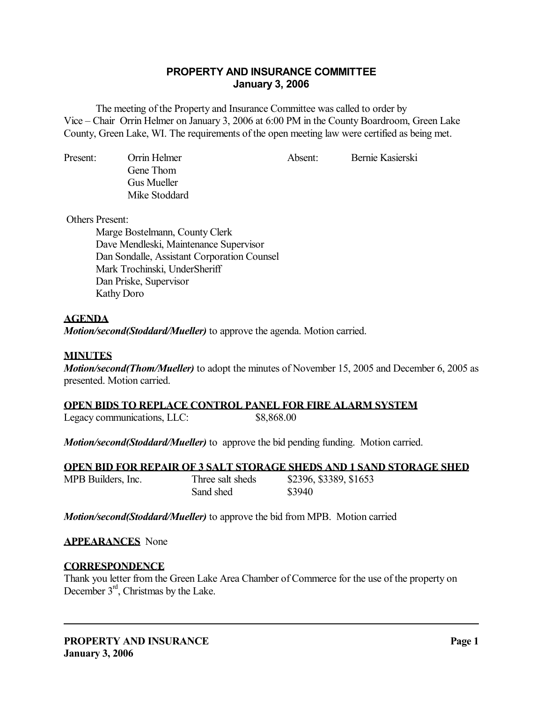# **PROPERTY AND INSURANCE COMMITTEE January 3, 2006**

 The meeting of the Property and Insurance Committee was called to order by Vice – Chair Orrin Helmer on January 3, 2006 at 6:00 PM in the County Boardroom, Green Lake County, Green Lake, WI. The requirements of the open meeting law were certified as being met.

Present: Orrin Helmer Absent: Bernie Kasierski Gene Thom Gus Mueller Mike Stoddard

Others Present:

 Marge Bostelmann, County Clerk Dave Mendleski, Maintenance Supervisor Dan Sondalle, Assistant Corporation Counsel Mark Trochinski, UnderSheriff Dan Priske, Supervisor Kathy Doro

# **AGENDA**

*Motion/second(Stoddard/Mueller)* to approve the agenda. Motion carried.

### **MINUTES**

*Motion/second(Thom/Mueller)* to adopt the minutes of November 15, 2005 and December 6, 2005 as presented. Motion carried.

#### **OPEN BIDS TO REPLACE CONTROL PANEL FOR FIRE ALARM SYSTEM**

Legacy communications, LLC:  $$8,868.00$ 

*Motion/second(Stoddard/Mueller)* to approve the bid pending funding. Motion carried.

|                    |                  | OPEN BID FOR REPAIR OF 3 SALT STORAGE SHEDS AND 1 SAND STORAGE SHED |
|--------------------|------------------|---------------------------------------------------------------------|
| MPB Builders, Inc. | Three salt sheds | \$2396, \$3389, \$1653                                              |
|                    | Sand shed        | \$3940                                                              |

*Motion/second(Stoddard/Mueller)* to approve the bid from MPB. Motion carried

#### **APPEARANCES** None

#### **CORRESPONDENCE**

Thank you letter from the Green Lake Area Chamber of Commerce for the use of the property on December 3<sup>rd</sup>, Christmas by the Lake.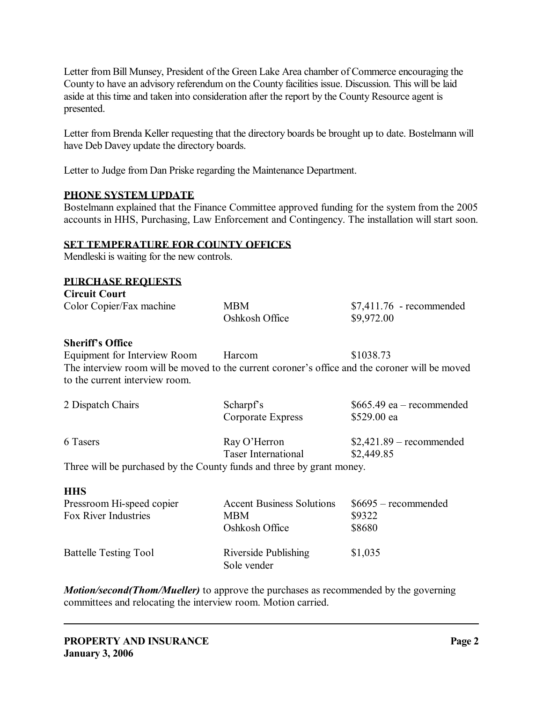Letter from Bill Munsey, President of the Green Lake Area chamber of Commerce encouraging the County to have an advisory referendum on the County facilities issue. Discussion. This will be laid aside at this time and taken into consideration after the report by the County Resource agent is presented.

Letter from Brenda Keller requesting that the directory boards be brought up to date. Bostelmann will have Deb Davey update the directory boards.

Letter to Judge from Dan Priske regarding the Maintenance Department.

#### **PHONE SYSTEM UPDATE**

Bostelmann explained that the Finance Committee approved funding for the system from the 2005 accounts in HHS, Purchasing, Law Enforcement and Contingency. The installation will start soon.

#### **SET TEMPERATURE FOR COUNTY OFFICES**

Mendleski is waiting for the new controls.

#### **PURCHASE REQUESTS**

| <b>Circuit Court</b>                                                                                                             |                     |                            |
|----------------------------------------------------------------------------------------------------------------------------------|---------------------|----------------------------|
| Color Copier/Fax machine                                                                                                         | <b>MBM</b>          | $$7,411.76$ - recommended  |
|                                                                                                                                  | Oshkosh Office      | \$9,972.00                 |
| <b>Sheriff's Office</b>                                                                                                          |                     |                            |
| Equipment for Interview Room Harcom                                                                                              |                     | \$1038.73                  |
| The interview room will be moved to the current coroner's office and the coroner will be moved<br>to the current interview room. |                     |                            |
|                                                                                                                                  |                     |                            |
| 2 Dispatch Chairs                                                                                                                | Scharpf's           | $$665.49$ ea – recommended |
|                                                                                                                                  | Corporate Express   | \$529.00 ea                |
| 6 Tasers                                                                                                                         | Ray O'Herron        | $$2,421.89$ – recommended  |
|                                                                                                                                  | Taser International | \$2,449.85                 |
| Three will be purchased by the County funds and three by grant money.                                                            |                     |                            |
| <b>HHS</b>                                                                                                                       |                     |                            |

| Pressroom Hi-speed copier    | <b>Accent Business Solutions</b>    | $$6695$ – recommended |
|------------------------------|-------------------------------------|-----------------------|
| Fox River Industries         | <b>MBM</b>                          | \$9322                |
|                              | Oshkosh Office                      | \$8680                |
| <b>Battelle Testing Tool</b> | Riverside Publishing<br>Sole vender | \$1,035               |

*Motion/second(Thom/Mueller)* to approve the purchases as recommended by the governing committees and relocating the interview room. Motion carried.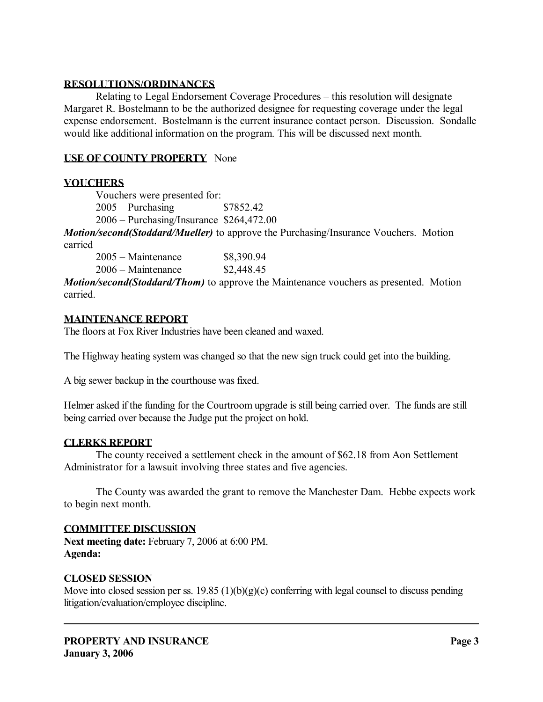### **RESOLUTIONS/ORDINANCES**

 Relating to Legal Endorsement Coverage Procedures – this resolution will designate Margaret R. Bostelmann to be the authorized designee for requesting coverage under the legal expense endorsement. Bostelmann is the current insurance contact person. Discussion. Sondalle would like additional information on the program. This will be discussed next month.

### **USE OF COUNTY PROPERTY** None

# **VOUCHERS**

 Vouchers were presented for: 2005 – Purchasing \$7852.42 2006 – Purchasing/Insurance \$264,472.00

*Motion/second(Stoddard/Mueller)* to approve the Purchasing/Insurance Vouchers. Motion carried

| $2005 - \text{Maintenance}$ | \$8,390.94 |
|-----------------------------|------------|
| $2006 - \text{Maintename}$  | \$2,448.45 |

*Motion/second(Stoddard/Thom)* to approve the Maintenance vouchers as presented. Motion carried.

### **MAINTENANCE REPORT**

The floors at Fox River Industries have been cleaned and waxed.

The Highway heating system was changed so that the new sign truck could get into the building.

A big sewer backup in the courthouse was fixed.

Helmer asked if the funding for the Courtroom upgrade is still being carried over. The funds are still being carried over because the Judge put the project on hold.

#### **CLERKS REPORT**

 The county received a settlement check in the amount of \$62.18 from Aon Settlement Administrator for a lawsuit involving three states and five agencies.

 The County was awarded the grant to remove the Manchester Dam. Hebbe expects work to begin next month.

#### **COMMITTEE DISCUSSION**

**Next meeting date:** February 7, 2006 at 6:00 PM. **Agenda:** 

#### **CLOSED SESSION**

Move into closed session per ss. 19.85 (1)(b)(g)(c) conferring with legal counsel to discuss pending litigation/evaluation/employee discipline.